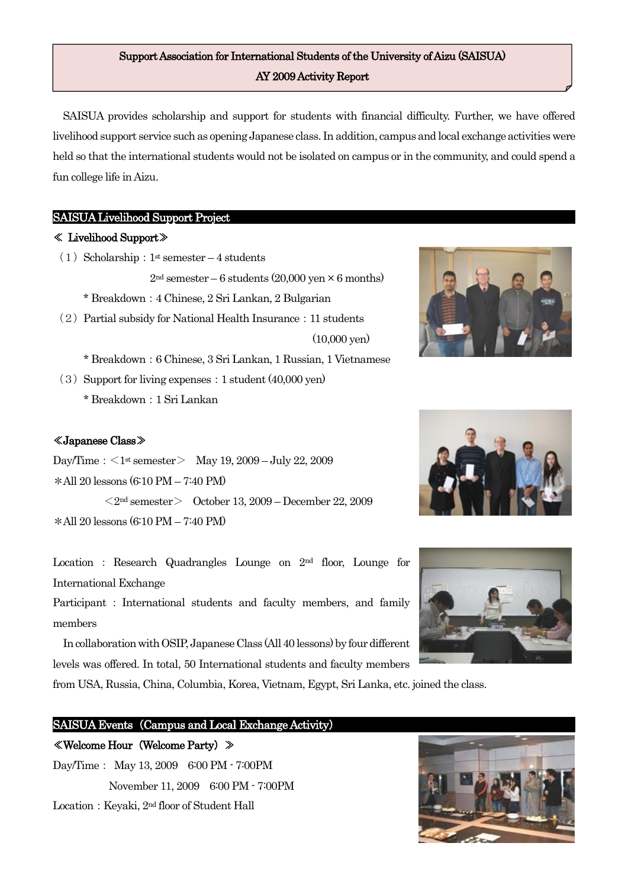# Support Association for International Students of the University of Aizu (SAISUA) AY 2009 Activity Report

SAISUA provides scholarship and support for students with financial difficulty. Further, we have offered livelihood support service such as opening Japanese class. In addition, campus and local exchange activities were held so that the international students would not be isolated on campus or in the community, and could spend a fun college life in Aizu.

(10,000 yen)

### SAISUA Livelihood Support Project

#### ≪ Livelihood Support≫

- (1) Scholarship:  $1^{\text{st}}$  semester 4 students
	- $2<sup>nd</sup>$  semester 6 students (20,000 yen  $\times$  6 months)
	- \* Breakdown:4 Chinese, 2 Sri Lankan, 2 Bulgarian
- $(2)$  Partial subsidy for National Health Insurance: 11 students



- $(3)$  Support for living expenses: 1 student  $(40,000 \text{ yen})$ 
	- \* Breakdown:1 Sri Lankan

### ≪Japanese Class≫

Day/Time:  $\langle 1^{\text{st}} \text{semester} \rangle$  May 19, 2009 – July 22, 2009 \*All 20 lessons (6:10 PM – 7:40 PM)

 $\langle 2^{nd}$  semester  $>$  October 13, 2009 – December 22, 2009 \*All 20 lessons (6:10 PM – 7:40 PM)

Location : Research Quadrangles Lounge on 2nd floor, Lounge for International Exchange

Participant : International students and faculty members, and family members

In collaboration with OSIP, Japanese Class (All 40 lessons) by four different levels was offered. In total, 50 International students and faculty members

from USA, Russia, China, Columbia, Korea, Vietnam, Egypt, Sri Lanka, etc. joined the class.

### SAISUA Events (Campus and Local Exchange Activity)

## ≪Welcome Hour(Welcome Party)≫

Day/Time: May 13, 2009 6:00 PM - 7:00PM November 11, 2009 6:00 PM - 7:00PM Location: Keyaki, 2<sup>nd</sup> floor of Student Hall